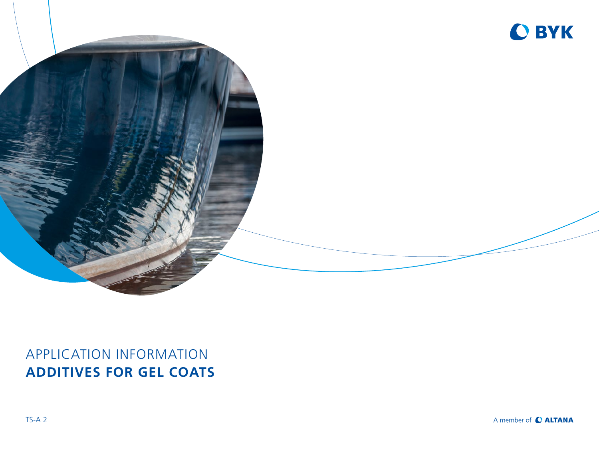



## APPLICATION INFORMATION **ADDITIVES FOR GEL COATS**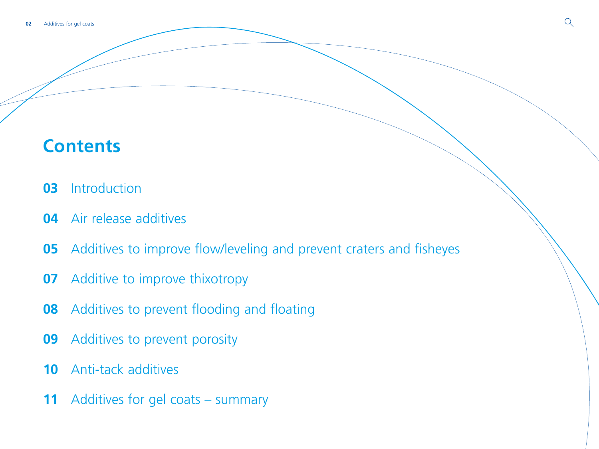# **Contents**

- [Introduction](#page-2-0)
- [Air release additives](#page-3-0)
- [Additives to improve flow/leveling and prevent craters and fisheyes](#page-4-0)
- [Additive to improve thixotropy](#page-6-0)
- [Additives to prevent flooding and floating](#page-7-0)
- [Additives to prevent porosity](#page-8-0)
- [Anti-tack additives](#page-9-0)
- [Additives for gel coats summary](#page-10-0)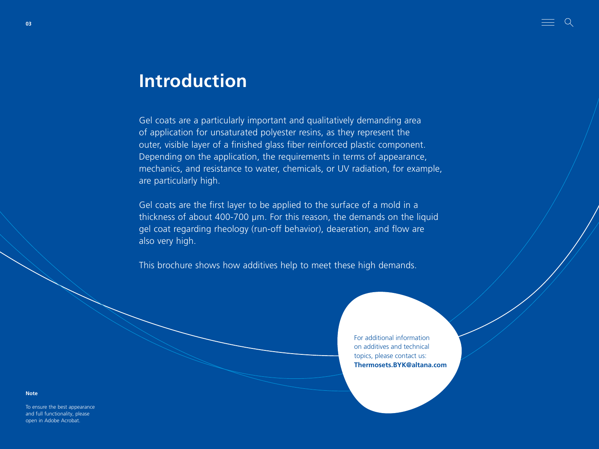# <span id="page-2-0"></span>**Introduction**

Gel coats are a particularly important and qualitatively demanding area of application for unsaturated polyester resins, as they represent the outer, visible layer of a finished glass fiber reinforced plastic component. Depending on the application, the requirements in terms of appearance, mechanics, and resistance to water, chemicals, or UV radiation, for example, are particularly high.

Gel coats are the first layer to be applied to the surface of a mold in a thickness of about 400-700 µm. For this reason, the demands on the liquid gel coat regarding rheology (run-off behavior), deaeration, and flow are also very high.

This brochure shows how additives help to meet these high demands.

For additional information on additives and technical topics, please contact us: **Thermosets.BYK@altana.com**

**Note**

To ensure the best appearance and full functionality, please open in Adobe Acrobat.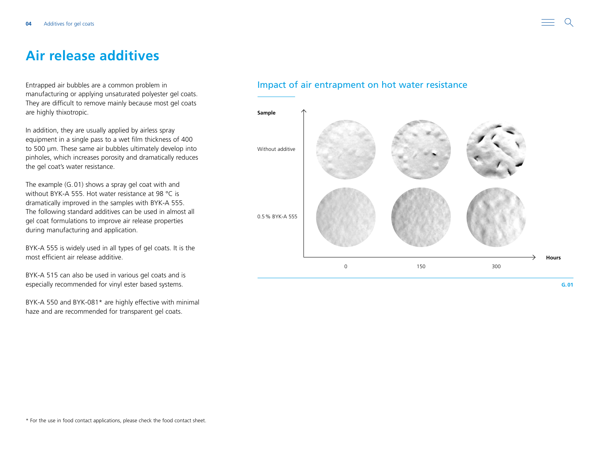## <span id="page-3-0"></span>**Air release additives**

Entrapped air bubbles are a common problem in manufacturing or applying unsaturated polyester gel coats. They are difficult to remove mainly because most gel coats are highly thixotropic.

In addition, they are usually applied by airless spray equipment in a single pass to a wet film thickness of 400 to 500 μm. These same air bubbles ultimately develop into pinholes, which increases porosity and dramatically reduces the gel coat's water resistance.

The example (G.01) shows a spray gel coat with and without BYK-A 555. Hot water resistance at 98 °C is dramatically improved in the samples with BYK-A 555. The following standard additives can be used in almost all gel coat formulations to improve air release properties during manufacturing and application.

BYK-A 555 is widely used in all types of gel coats. It is the most efficient air release additive.

BYK-A 515 can also be used in various gel coats and is especially recommended for vinyl ester based systems.

BYK-A 550 and BYK-081\* are highly effective with minimal haze and are recommended for transparent gel coats.

### Impact of air entrapment on hot water resistance

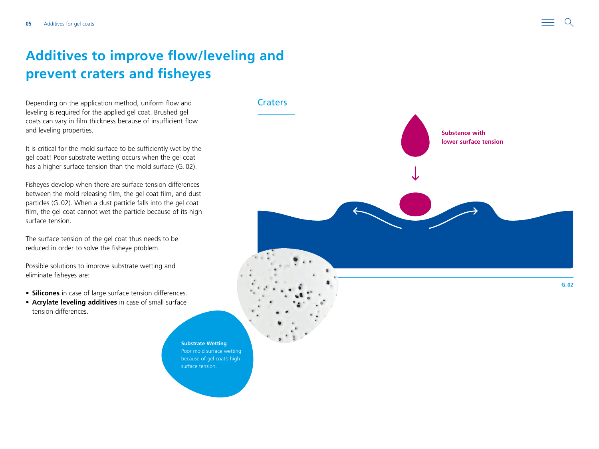## <span id="page-4-0"></span>**Additives to improve flow/leveling and prevent craters and fisheyes**

Depending on the application method, uniform flow and leveling is required for the applied gel coat. Brushed gel coats can vary in film thickness because of insufficient flow and leveling properties.

It is critical for the mold surface to be sufficiently wet by the gel coat! Poor substrate wetting occurs when the gel coat has a higher surface tension than the mold surface (G.02).

Fisheyes develop when there are surface tension differences between the mold releasing film, the gel coat film, and dust particles (G.02). When a dust particle falls into the gel coat film, the gel coat cannot wet the particle because of its high surface tension.

The surface tension of the gel coat thus needs to be reduced in order to solve the fisheye problem.

Possible solutions to improve substrate wetting and eliminate fisheyes are:

- **Silicones** in case of large surface tension differences.
- **Acrylate leveling additives** in case of small surface tension differences.

**Substrate Wetting** Poor mold surface wetting because of gel coat's high surface tension.

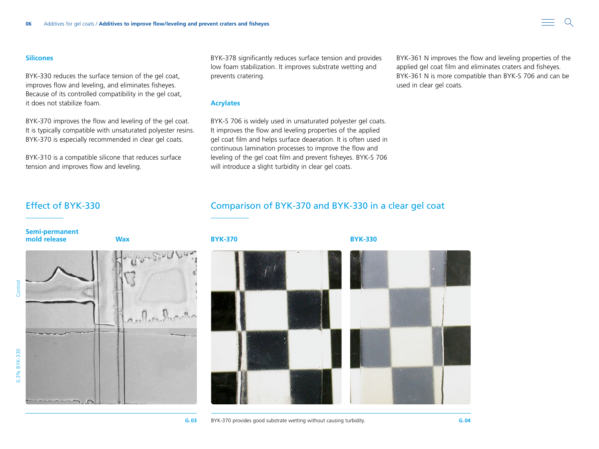#### **Silicones**

BYK-330 reduces the surface tension of the gel coat, improves flow and leveling, and eliminates fisheyes. Because of its controlled compatibility in the gel coat, it does not stabilize foam.

BYK-370 improves the flow and leveling of the gel coat. It is typically compatible with unsaturated polyester resins. BYK-370 is especially recommended in clear gel coats.

BYK-310 is a compatible silicone that reduces surface tension and improves flow and leveling.

BYK-378 significantly reduces surface tension and provides low foam stabilization. It improves substrate wetting and prevents cratering.

#### **Acrylates**

BYK-S 706 is widely used in unsaturated polyester gel coats. It improves the flow and leveling properties of the applied gel coat film and helps surface deaeration. It is often used in continuous lamination processes to improve the flow and leveling of the gel coat film and prevent fisheyes. BYK-S 706 will introduce a slight turbidity in clear gel coats.

### Effect of BYK-330 Comparison of BYK-370 and BYK-330 in a clear gel coat

**Semi-permanent mold release Wax BYK-370 BYK-330**

and Company

**G.03** BYK-370 provides good substrate wetting without causing turbidity. **G.04**

BYK-361 N improves the flow and leveling properties of the applied gel coat film and eliminates craters and fisheyes. BYK-361 N is more compatible than BYK-S 706 and can be used in clear gel coats.



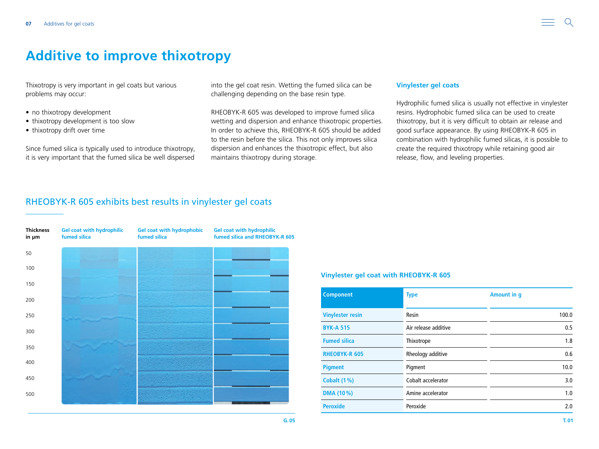## <span id="page-6-0"></span>**Additive to improve thixotropy**

Thixotropy is very important in gel coats but various problems may occur:

- no thixotropy development
- thixotropy development is too slow
- thixotropy drift over time

Since fumed silica is typically used to introduce thixotropy, it is very important that the fumed silica be well dispersed

into the gel coat resin. Wetting the fumed silica can be challenging depending on the base resin type.

RHEOBYK-R 605 was developed to improve fumed silica wetting and dispersion and enhance thixotropic properties. In order to achieve this, RHEOBYK-R 605 should be added to the resin before the silica. This not only improves silica dispersion and enhances the thixotropic effect, but also maintains thixotropy during storage.

#### **Vinylester gel coats**

Hydrophilic fumed silica is usually not effective in vinylester resins. Hydrophobic fumed silica can be used to create thixotropy, but it is very difficult to obtain air release and good surface appearance. By using RHEOBYK-R 605 in combination with hydrophilic fumed silicas, it is possible to create the required thixotropy while retaining good air release, flow, and leveling properties.

#### RHEOBYK-R 605 exhibits best results in vinylester gel coats

| <b>Thickness</b><br>in µm | <b>Gel coat with hydrophilic</b><br>fumed silica | <b>Gel coat with hydrophobic</b><br>fumed silica | <b>Gel coat with hydrophilic</b><br>fumed silica and RHEOBYK-R 605 |  |  |
|---------------------------|--------------------------------------------------|--------------------------------------------------|--------------------------------------------------------------------|--|--|
| 50                        |                                                  |                                                  |                                                                    |  |  |
| 100                       |                                                  |                                                  |                                                                    |  |  |
| 150                       |                                                  |                                                  |                                                                    |  |  |
| 200                       |                                                  |                                                  |                                                                    |  |  |
| 250                       |                                                  |                                                  |                                                                    |  |  |
| 300                       |                                                  |                                                  |                                                                    |  |  |
| 350                       |                                                  |                                                  |                                                                    |  |  |
| 400                       |                                                  |                                                  |                                                                    |  |  |
| 450                       |                                                  |                                                  |                                                                    |  |  |
| 500                       |                                                  |                                                  |                                                                    |  |  |
|                           |                                                  |                                                  |                                                                    |  |  |

#### **Vinylester gel coat with RHEOBYK-R 605**

| <b>Component</b>                         | <b>Type</b>        | Amount in q |  |  |
|------------------------------------------|--------------------|-------------|--|--|
| <b>Vinylester resin</b>                  | Resin              | 100.0       |  |  |
| Air release additive<br><b>BYK-A 515</b> |                    | 0.5         |  |  |
| <b>Fumed silica</b>                      | Thixotrope         | 1.8         |  |  |
| <b>RHEOBYK-R 605</b>                     | Rheology additive  | 0.6         |  |  |
| <b>Pigment</b>                           | Pigment            | 10.0        |  |  |
| <b>Cobalt (1%)</b>                       | Cobalt accelerator | 3.0         |  |  |
| DMA (10%)                                | Amine accelerator  | 1.0         |  |  |
| <b>Peroxide</b>                          | Peroxide           | 2.0         |  |  |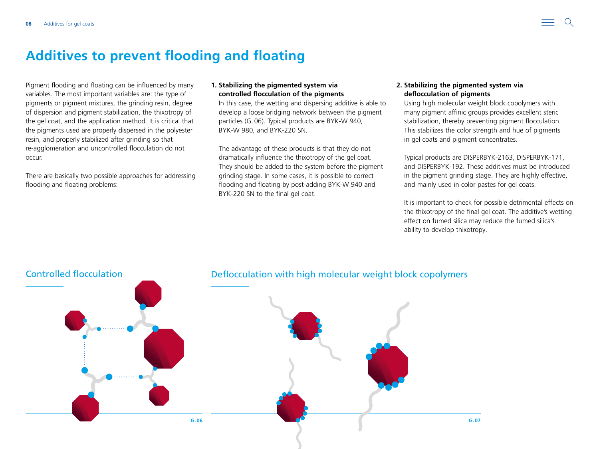### <span id="page-7-0"></span>**Additives to prevent flooding and floating**

Pigment flooding and floating can be influenced by many variables. The most important variables are: the type of pigments or pigment mixtures, the grinding resin, degree of dispersion and pigment stabilization, the thixotropy of the gel coat, and the application method. It is critical that the pigments used are properly dispersed in the polyester resin, and properly stabilized after grinding so that re-agglomeration and uncontrolled flocculation do not occur.

There are basically two possible approaches for addressing flooding and floating problems:

#### **1. Stabilizing the pigmented system via controlled flocculation of the pigments**

In this case, the wetting and dispersing additive is able to develop a loose bridging network between the pigment particles (G.06). Typical products are BYK-W 940, BYK-W 980, and BYK-220 SN.

The advantage of these products is that they do not dramatically influence the thixotropy of the gel coat. They should be added to the system before the pigment grinding stage. In some cases, it is possible to correct flooding and floating by post-adding BYK-W 940 and BYK-220 SN to the final gel coat.

#### **2. Stabilizing the pigmented system via deflocculation of pigments**

Using high molecular weight block copolymers with many pigment affinic groups provides excellent steric stabilization, thereby preventing pigment flocculation. This stabilizes the color strength and hue of pigments in gel coats and pigment concentrates.

Typical products are DISPERBYK-2163, DISPERBYK-171, and DISPERBYK-192. These additives must be introduced in the pigment grinding stage. They are highly effective, and mainly used in color pastes for gel coats.

It is important to check for possible detrimental effects on the thixotropy of the final gel coat. The additive's wetting effect on fumed silica may reduce the fumed silica's ability to develop thixotropy.

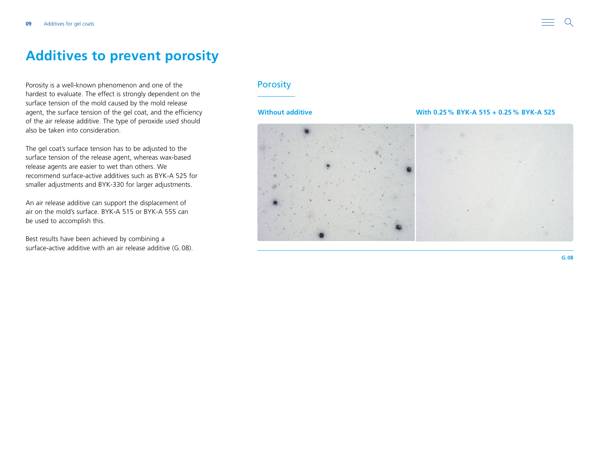<span id="page-8-0"></span>Porosity is a well-known phenomenon and one of the hardest to evaluate. The effect is strongly dependent on the surface tension of the mold caused by the mold release agent, the surface tension of the gel coat, and the efficiency of the air release additive. The type of peroxide used should also be taken into consideration.

The gel coat's surface tension has to be adjusted to the surface tension of the release agent, whereas wax-based release agents are easier to wet than others. We recommend surface-active additives such as BYK-A 525 for smaller adjustments and BYK-330 for larger adjustments.

An air release additive can support the displacement of air on the mold's surface. BYK-A 515 or BYK-A 555 can be used to accomplish this.

Best results have been achieved by combining a surface-active additive with an air release additive (G.08).

### **Porosity**

#### **Without additive With 0.25% BYK-A 515 + 0.25% BYK-A 525**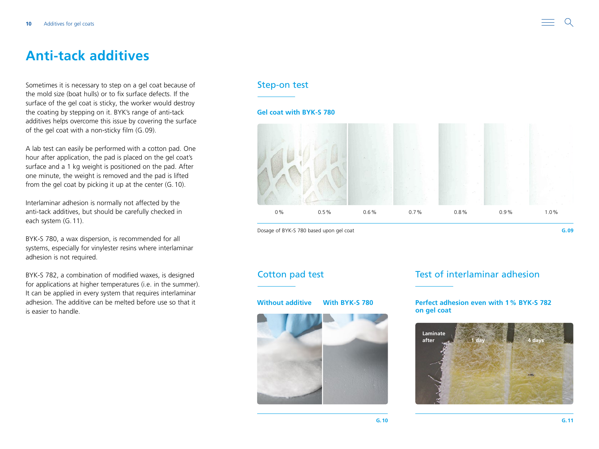## <span id="page-9-0"></span>**Anti-tack additives**

Sometimes it is necessary to step on a gel coat because of the mold size (boat hulls) or to fix surface defects. If the surface of the gel coat is sticky, the worker would destroy the coating by stepping on it. BYK's range of anti-tack additives helps overcome this issue by covering the surface of the gel coat with a non-sticky film (G.09).

A lab test can easily be performed with a cotton pad. One hour after application, the pad is placed on the gel coat's surface and a 1 kg weight is positioned on the pad. After one minute, the weight is removed and the pad is lifted from the gel coat by picking it up at the center (G.10).

Interlaminar adhesion is normally not affected by the anti-tack additives, but should be carefully checked in each system (G.11).

BYK-S 780, a wax dispersion, is recommended for all systems, especially for vinylester resins where interlaminar adhesion is not required.

BYK-S 782, a combination of modified waxes, is designed for applications at higher temperatures (i.e. in the summer). It can be applied in every system that requires interlaminar adhesion. The additive can be melted before use so that it is easier to handle.

### Step-on test

#### **Gel coat with BYK-S 780**



Dosage of BYK-S 780 based upon gel coat



### Cotton pad test Test of interlaminar adhesion

#### **Without additive With BYK-S 780 Perfect adhesion even with 1% BYK-S 782 on gel coat**

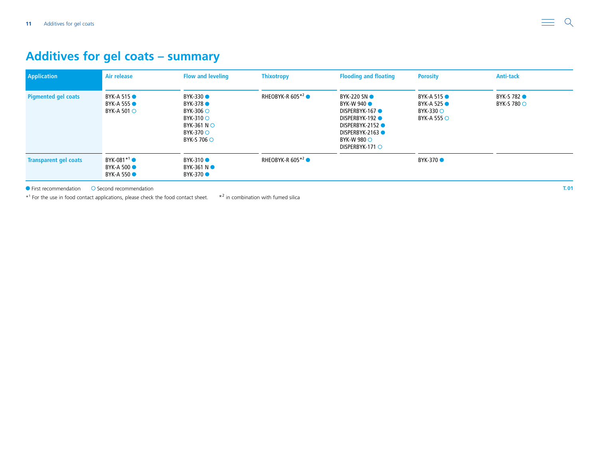### <span id="page-10-0"></span>**Additives for gel coats – summary**

| <b>Application</b>           | Air release                                                   | <b>Flow and leveling</b>                                                                                                    | <b>Thixotropy</b>             | <b>Flooding and floating</b>                                                                                                                                          | <b>Porosity</b>                                                                                  | <b>Anti-tack</b>                      |
|------------------------------|---------------------------------------------------------------|-----------------------------------------------------------------------------------------------------------------------------|-------------------------------|-----------------------------------------------------------------------------------------------------------------------------------------------------------------------|--------------------------------------------------------------------------------------------------|---------------------------------------|
| <b>Pigmented gel coats</b>   | <b>BYK-A 515 ●</b><br><b>BYK-A 555 •</b><br>BYK-A 501 $\circ$ | BYK-330 ●<br>BYK-378 ●<br>BYK-306 $\circ$<br>$BYK-310$ $\circ$<br>BYK-361 N $\circ$<br>BYK-370 $\circ$<br>BYK-S 706 $\circ$ | RHEOBYK-R 605 $*^2$ $\bullet$ | <b>BYK-220 SNO</b><br>BYK-W 940<br>DISPERBYK-167<br><b>DISPERBYK-192 ●</b><br><b>DISPERBYK-2152 ●</b><br>DISPERBYK-2163<br>BYK-W 980 $\circ$<br>DISPERBYK-171 $\circ$ | BYK-A 515 $\bullet$<br>BYK-A 525 $\bullet$<br>$BYK-330$ $\circlearrowright$<br>BYK-A 555 $\circ$ | BYK-S 782 <sup>O</sup><br>BYK-S 780 O |
| <b>Transparent gel coats</b> | $BYK-081*1$<br><b>BYK-A 500 •</b><br><b>BYK-A 550</b>         | BYK-310 ●<br>BYK-361 N $\bullet$<br>BYK-370 ●                                                                               | RHEOBYK-R 605 $*^2$ $\bullet$ |                                                                                                                                                                       | BYK-370 ●                                                                                        |                                       |

 $\bullet$  First recommendation  $\bullet$  Second recommendation

\*<sup>1</sup> For the use in food contact applications, please check the food contact sheet. \*<sup>2</sup> in combination with fumed silica

**T.01**